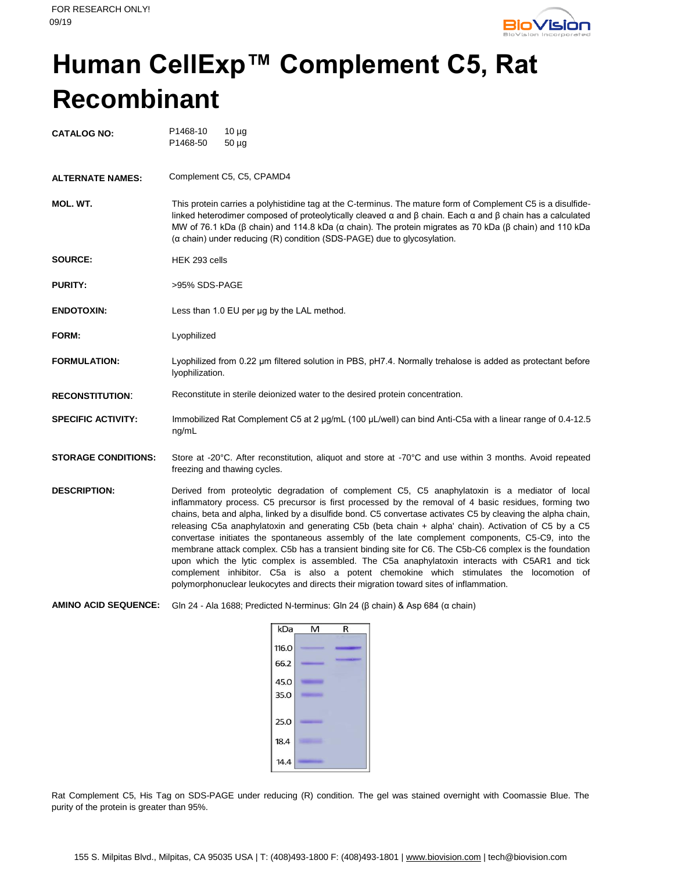

## **Human CellExp™ Complement C5, Rat Recombinant**

| <b>CATALOG NO:</b>         | P1468-10<br>$10 \mu g$<br>P1468-50<br>$50 \mu g$                                                                                                                                                                                                                                                                                                                                                                                                                                                                                                                                                                                                                                                                                                                                                                                                                                                                                    |  |
|----------------------------|-------------------------------------------------------------------------------------------------------------------------------------------------------------------------------------------------------------------------------------------------------------------------------------------------------------------------------------------------------------------------------------------------------------------------------------------------------------------------------------------------------------------------------------------------------------------------------------------------------------------------------------------------------------------------------------------------------------------------------------------------------------------------------------------------------------------------------------------------------------------------------------------------------------------------------------|--|
| <b>ALTERNATE NAMES:</b>    | Complement C5, C5, CPAMD4                                                                                                                                                                                                                                                                                                                                                                                                                                                                                                                                                                                                                                                                                                                                                                                                                                                                                                           |  |
| MOL. WT.                   | This protein carries a polyhistidine tag at the C-terminus. The mature form of Complement C5 is a disulfide-<br>linked heterodimer composed of proteolytically cleaved $\alpha$ and $\beta$ chain. Each $\alpha$ and $\beta$ chain has a calculated<br>MW of 76.1 kDa ( $\beta$ chain) and 114.8 kDa ( $\alpha$ chain). The protein migrates as 70 kDa ( $\beta$ chain) and 110 kDa<br>$(\alpha \text{ chain})$ under reducing $(R)$ condition $(SDS-PAGE)$ due to glycosylation.                                                                                                                                                                                                                                                                                                                                                                                                                                                   |  |
| SOURCE:                    | HEK 293 cells                                                                                                                                                                                                                                                                                                                                                                                                                                                                                                                                                                                                                                                                                                                                                                                                                                                                                                                       |  |
| <b>PURITY:</b>             | >95% SDS-PAGE                                                                                                                                                                                                                                                                                                                                                                                                                                                                                                                                                                                                                                                                                                                                                                                                                                                                                                                       |  |
| <b>ENDOTOXIN:</b>          | Less than 1.0 EU per ug by the LAL method.                                                                                                                                                                                                                                                                                                                                                                                                                                                                                                                                                                                                                                                                                                                                                                                                                                                                                          |  |
| FORM:                      | Lyophilized                                                                                                                                                                                                                                                                                                                                                                                                                                                                                                                                                                                                                                                                                                                                                                                                                                                                                                                         |  |
| <b>FORMULATION:</b>        | Lyophilized from 0.22 um filtered solution in PBS, pH7.4. Normally trehalose is added as protectant before<br>lyophilization.                                                                                                                                                                                                                                                                                                                                                                                                                                                                                                                                                                                                                                                                                                                                                                                                       |  |
| <b>RECONSTITUTION:</b>     | Reconstitute in sterile deionized water to the desired protein concentration.                                                                                                                                                                                                                                                                                                                                                                                                                                                                                                                                                                                                                                                                                                                                                                                                                                                       |  |
| <b>SPECIFIC ACTIVITY:</b>  | Immobilized Rat Complement C5 at 2 µg/mL (100 µL/well) can bind Anti-C5a with a linear range of 0.4-12.5<br>ng/mL                                                                                                                                                                                                                                                                                                                                                                                                                                                                                                                                                                                                                                                                                                                                                                                                                   |  |
| <b>STORAGE CONDITIONS:</b> | Store at -20°C. After reconstitution, aliquot and store at -70°C and use within 3 months. Avoid repeated<br>freezing and thawing cycles.                                                                                                                                                                                                                                                                                                                                                                                                                                                                                                                                                                                                                                                                                                                                                                                            |  |
| <b>DESCRIPTION:</b>        | Derived from proteolytic degradation of complement C5, C5 anaphylatoxin is a mediator of local<br>inflammatory process. C5 precursor is first processed by the removal of 4 basic residues, forming two<br>chains, beta and alpha, linked by a disulfide bond. C5 convertase activates C5 by cleaving the alpha chain,<br>releasing C5a anaphylatoxin and generating C5b (beta chain + alpha' chain). Activation of C5 by a C5<br>convertase initiates the spontaneous assembly of the late complement components, C5-C9, into the<br>membrane attack complex. C5b has a transient binding site for C6. The C5b-C6 complex is the foundation<br>upon which the lytic complex is assembled. The C5a anaphylatoxin interacts with C5AR1 and tick<br>complement inhibitor. C5a is also a potent chemokine which stimulates the locomotion of<br>polymorphonuclear leukocytes and directs their migration toward sites of inflammation. |  |

**AMINO ACID SEQUENCE:** Gln 24 - Ala 1688; Predicted N-terminus: Gln 24 (β chain) & Asp 684 (α chain)

| kDa   | M<br>R |
|-------|--------|
| 116.0 |        |
| 66.2  |        |
| 45.0  |        |
| 35.0  |        |
| 25.0  |        |
| 18.4  |        |
| 14.4  |        |

Rat Complement C5, His Tag on SDS-PAGE under reducing (R) condition. The gel was stained overnight with Coomassie Blue. The purity of the protein is greater than 95%.